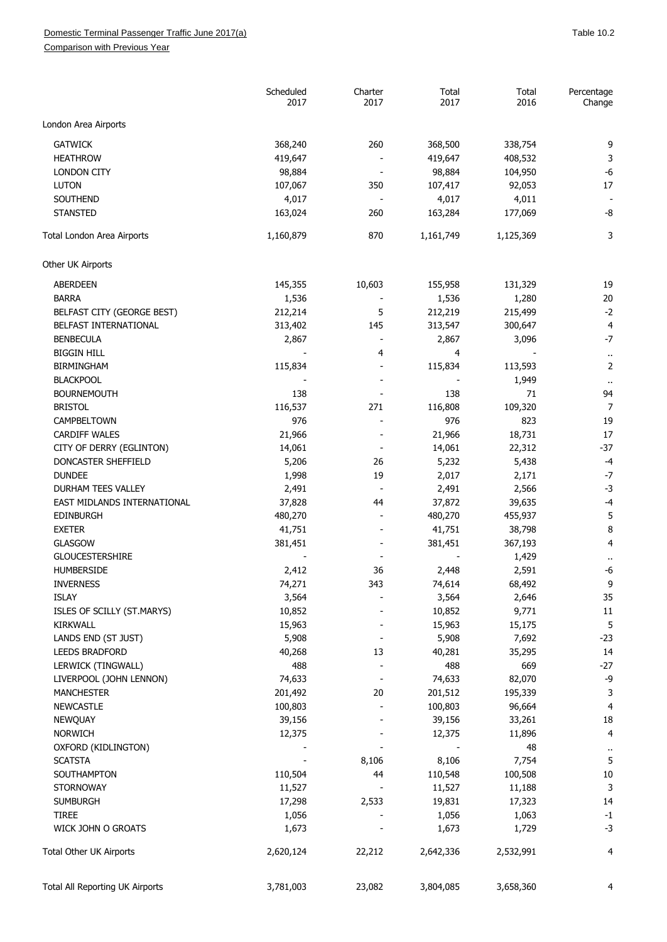## Domestic Terminal Passenger Traffic June 2017(a) and the state of the state of the San Table 10.2

Comparison with Previous Year

|                                 | Scheduled<br>2017 | Charter<br>2017          | Total<br>2017 | Total<br>2016 | Percentage<br>Change |
|---------------------------------|-------------------|--------------------------|---------------|---------------|----------------------|
| London Area Airports            |                   |                          |               |               |                      |
| <b>GATWICK</b>                  | 368,240           | 260                      | 368,500       | 338,754       | 9                    |
| <b>HEATHROW</b>                 | 419,647           |                          | 419,647       | 408,532       | 3                    |
| <b>LONDON CITY</b>              | 98,884            |                          | 98,884        | 104,950       | $-6$                 |
| <b>LUTON</b>                    | 107,067           | 350                      | 107,417       | 92,053        | 17                   |
| SOUTHEND                        | 4,017             |                          | 4,017         | 4,011         |                      |
| <b>STANSTED</b>                 | 163,024           | 260                      | 163,284       | 177,069       | -8                   |
|                                 |                   |                          |               |               |                      |
| Total London Area Airports      | 1,160,879         | 870                      | 1,161,749     | 1,125,369     | 3                    |
| Other UK Airports               |                   |                          |               |               |                      |
| <b>ABERDEEN</b>                 | 145,355           | 10,603                   | 155,958       | 131,329       | 19                   |
| <b>BARRA</b>                    | 1,536             |                          | 1,536         | 1,280         | 20                   |
| BELFAST CITY (GEORGE BEST)      | 212,214           | 5                        | 212,219       | 215,499       | $-2$                 |
| BELFAST INTERNATIONAL           | 313,402           | 145                      | 313,547       | 300,647       | 4                    |
| <b>BENBECULA</b>                | 2,867             |                          | 2,867         | 3,096         | $-7$                 |
| <b>BIGGIN HILL</b>              |                   | 4                        | 4             |               | $\ddot{\phantom{1}}$ |
| <b>BIRMINGHAM</b>               | 115,834           |                          | 115,834       | 113,593       | $\overline{2}$       |
| <b>BLACKPOOL</b>                |                   |                          |               | 1,949         | $\ddot{\phantom{1}}$ |
| <b>BOURNEMOUTH</b>              | 138               |                          | 138           | 71            | 94                   |
| <b>BRISTOL</b>                  | 116,537           | 271                      | 116,808       | 109,320       | $\overline{7}$       |
| CAMPBELTOWN                     | 976               |                          | 976           | 823           | 19                   |
| <b>CARDIFF WALES</b>            | 21,966            |                          | 21,966        | 18,731        | 17                   |
| CITY OF DERRY (EGLINTON)        | 14,061            |                          | 14,061        | 22,312        | $-37$                |
| DONCASTER SHEFFIELD             | 5,206             | 26                       | 5,232         | 5,438         | $-4$                 |
| <b>DUNDEE</b>                   | 1,998             | 19                       | 2,017         | 2,171         | $-7$                 |
| DURHAM TEES VALLEY              | 2,491             |                          | 2,491         | 2,566         | $-3$                 |
| EAST MIDLANDS INTERNATIONAL     | 37,828            | 44                       | 37,872        | 39,635        | $-4$                 |
| <b>EDINBURGH</b>                | 480,270           | $\overline{\phantom{a}}$ | 480,270       | 455,937       | 5                    |
| <b>EXETER</b>                   | 41,751            |                          | 41,751        | 38,798        | 8                    |
| <b>GLASGOW</b>                  | 381,451           |                          | 381,451       | 367,193       | $\overline{4}$       |
| <b>GLOUCESTERSHIRE</b>          |                   |                          |               | 1,429         | $\ddot{\phantom{1}}$ |
| HUMBERSIDE                      | 2,412             | 36                       | 2,448         | 2,591         | -6                   |
| <b>INVERNESS</b>                | 74,271            | 343                      | 74,614        | 68,492        | 9                    |
| <b>ISLAY</b>                    | 3,564             |                          | 3,564         | 2,646         | 35                   |
| ISLES OF SCILLY (ST.MARYS)      | 10,852            |                          | 10,852        | 9,771         | $11\,$               |
| <b>KIRKWALL</b>                 | 15,963            |                          | 15,963        | 15,175        | 5                    |
| LANDS END (ST JUST)             | 5,908             |                          | 5,908         | 7,692         | $-23$                |
| <b>LEEDS BRADFORD</b>           | 40,268            | 13                       | 40,281        | 35,295        | 14                   |
| LERWICK (TINGWALL)              | 488               |                          | 488           | 669           | $-27$                |
| LIVERPOOL (JOHN LENNON)         | 74,633            |                          | 74,633        | 82,070        | -9                   |
| <b>MANCHESTER</b>               | 201,492           | 20                       | 201,512       | 195,339       | 3                    |
| <b>NEWCASTLE</b>                | 100,803           |                          | 100,803       | 96,664        | 4                    |
| <b>NEWQUAY</b>                  | 39,156            |                          | 39,156        | 33,261        | 18                   |
| <b>NORWICH</b>                  | 12,375            |                          | 12,375        | 11,896        | $\overline{4}$       |
| OXFORD (KIDLINGTON)             |                   |                          |               | 48            |                      |
| <b>SCATSTA</b>                  |                   | 8,106                    | 8,106         | 7,754         | $\cdot$<br>5         |
| SOUTHAMPTON                     | 110,504           | 44                       | 110,548       | 100,508       | 10                   |
| <b>STORNOWAY</b>                | 11,527            |                          | 11,527        | 11,188        | $\mathsf 3$          |
| <b>SUMBURGH</b>                 | 17,298            | 2,533                    | 19,831        | 17,323        | 14                   |
| <b>TIREE</b>                    | 1,056             |                          | 1,056         | 1,063         | $-1$                 |
| WICK JOHN O GROATS              | 1,673             |                          | 1,673         |               | $-3$                 |
|                                 |                   |                          |               | 1,729         |                      |
| Total Other UK Airports         | 2,620,124         | 22,212                   | 2,642,336     | 2,532,991     | 4                    |
| Total All Reporting UK Airports | 3,781,003         | 23,082                   | 3,804,085     | 3,658,360     | 4                    |